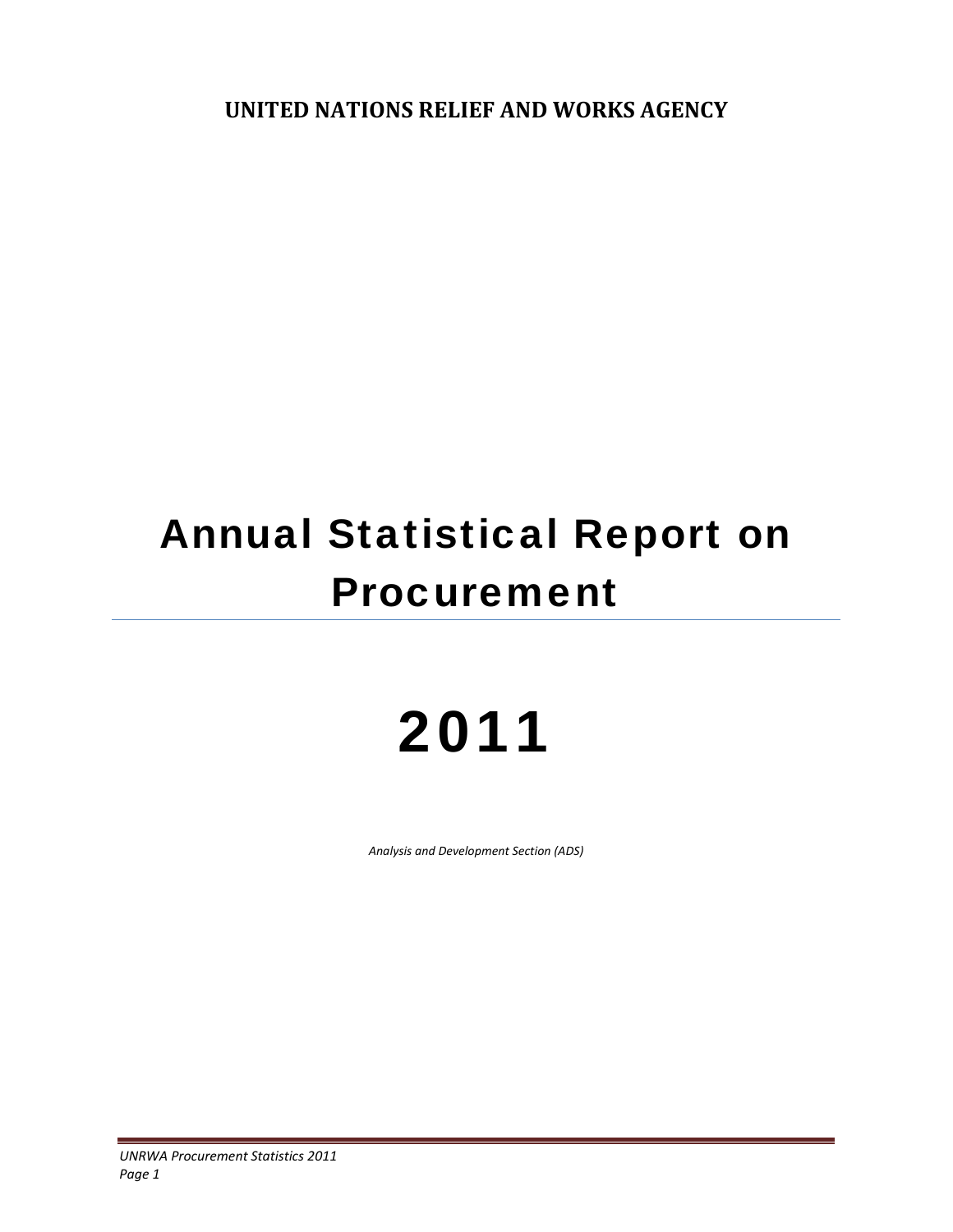**UNITED NATIONS RELIEF AND WORKS AGENCY**

# Annual Statistical Report on Procurement

# 2011

*Analysis and Development Section (ADS)*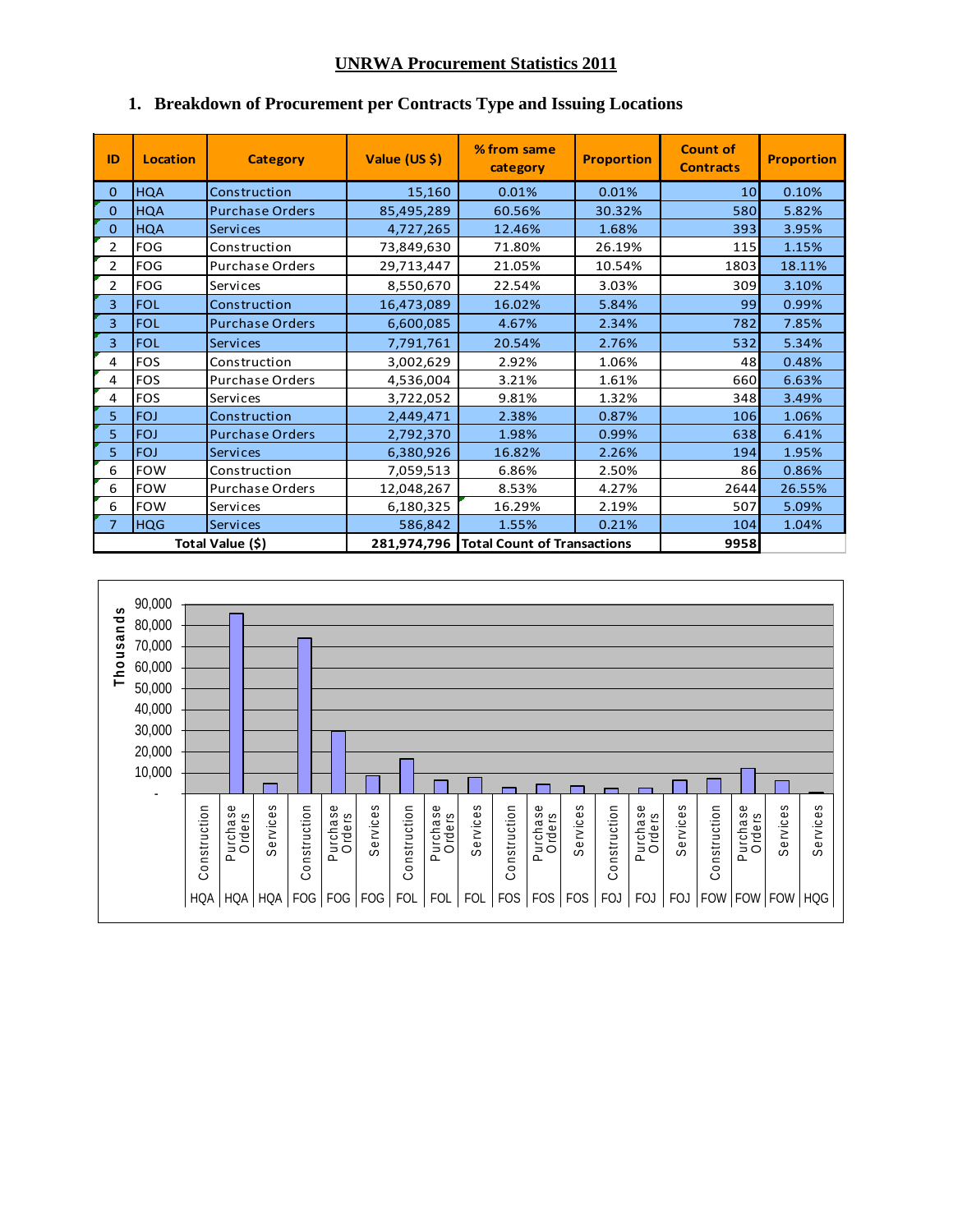# **UNRWA Procurement Statistics 2011**

| ID             | <b>Location</b> | <b>Category</b>        | Value (US \$) | % from same<br>category                 | <b>Proportion</b> | <b>Count of</b><br><b>Contracts</b> | <b>Proportion</b> |
|----------------|-----------------|------------------------|---------------|-----------------------------------------|-------------------|-------------------------------------|-------------------|
| 0              | <b>HQA</b>      | Construction           | 15,160        | 0.01%                                   | 0.01%             | 10                                  | 0.10%             |
| $\mathbf{0}$   | <b>HQA</b>      | <b>Purchase Orders</b> | 85,495,289    | 60.56%                                  | 30.32%            | 580                                 | 5.82%             |
| $\Omega$       | <b>HQA</b>      | <b>Services</b>        | 4,727,265     | 12.46%                                  | 1.68%             | 393                                 | 3.95%             |
| $\overline{2}$ | <b>FOG</b>      | Construction           | 73,849,630    | 71.80%                                  | 26.19%            | 115                                 | 1.15%             |
| $\overline{2}$ | <b>FOG</b>      | <b>Purchase Orders</b> | 29,713,447    | 21.05%                                  | 10.54%            | 1803                                | 18.11%            |
| $\overline{2}$ | FOG             | Services               | 8,550,670     | 22.54%                                  | 3.03%             | 309                                 | 3.10%             |
| 3              | <b>FOL</b>      | Construction           | 16,473,089    | 16.02%                                  | 5.84%             | 99                                  | 0.99%             |
| 3              | <b>FOL</b>      | <b>Purchase Orders</b> | 6,600,085     | 4.67%                                   | 2.34%             | 782                                 | 7.85%             |
| 3              | <b>FOL</b>      | <b>Services</b>        | 7,791,761     | 20.54%                                  | 2.76%             | 532                                 | 5.34%             |
| 4              | <b>FOS</b>      | Construction           | 3,002,629     | 2.92%                                   | 1.06%             | 48                                  | 0.48%             |
| 4              | <b>FOS</b>      | Purchase Orders        | 4,536,004     | 3.21%                                   | 1.61%             | 660                                 | 6.63%             |
| 4              | <b>FOS</b>      | Services               | 3,722,052     | 9.81%                                   | 1.32%             | 348                                 | 3.49%             |
| 5              | <b>FOJ</b>      | Construction           | 2,449,471     | 2.38%                                   | 0.87%             | 106                                 | 1.06%             |
| 5              | <b>FOJ</b>      | <b>Purchase Orders</b> | 2,792,370     | 1.98%                                   | 0.99%             | 638                                 | 6.41%             |
| 5              | <b>FOJ</b>      | <b>Services</b>        | 6,380,926     | 16.82%                                  | 2.26%             | 194                                 | 1.95%             |
| 6              | <b>FOW</b>      | Construction           | 7,059,513     | 6.86%                                   | 2.50%             | 86                                  | 0.86%             |
| 6              | <b>FOW</b>      | <b>Purchase Orders</b> | 12,048,267    | 8.53%                                   | 4.27%             | 2644                                | 26.55%            |
| 6              | <b>FOW</b>      | Services               | 6,180,325     | 16.29%                                  | 2.19%             | 507                                 | 5.09%             |
| $\overline{7}$ | <b>HQG</b>      | <b>Services</b>        | 586,842       | 1.55%                                   | 0.21%             | 104                                 | 1.04%             |
|                |                 | Total Value (\$)       |               | 281,974,796 Total Count of Transactions |                   | 9958                                |                   |

# **1. Breakdown of Procurement per Contracts Type and Issuing Locations**

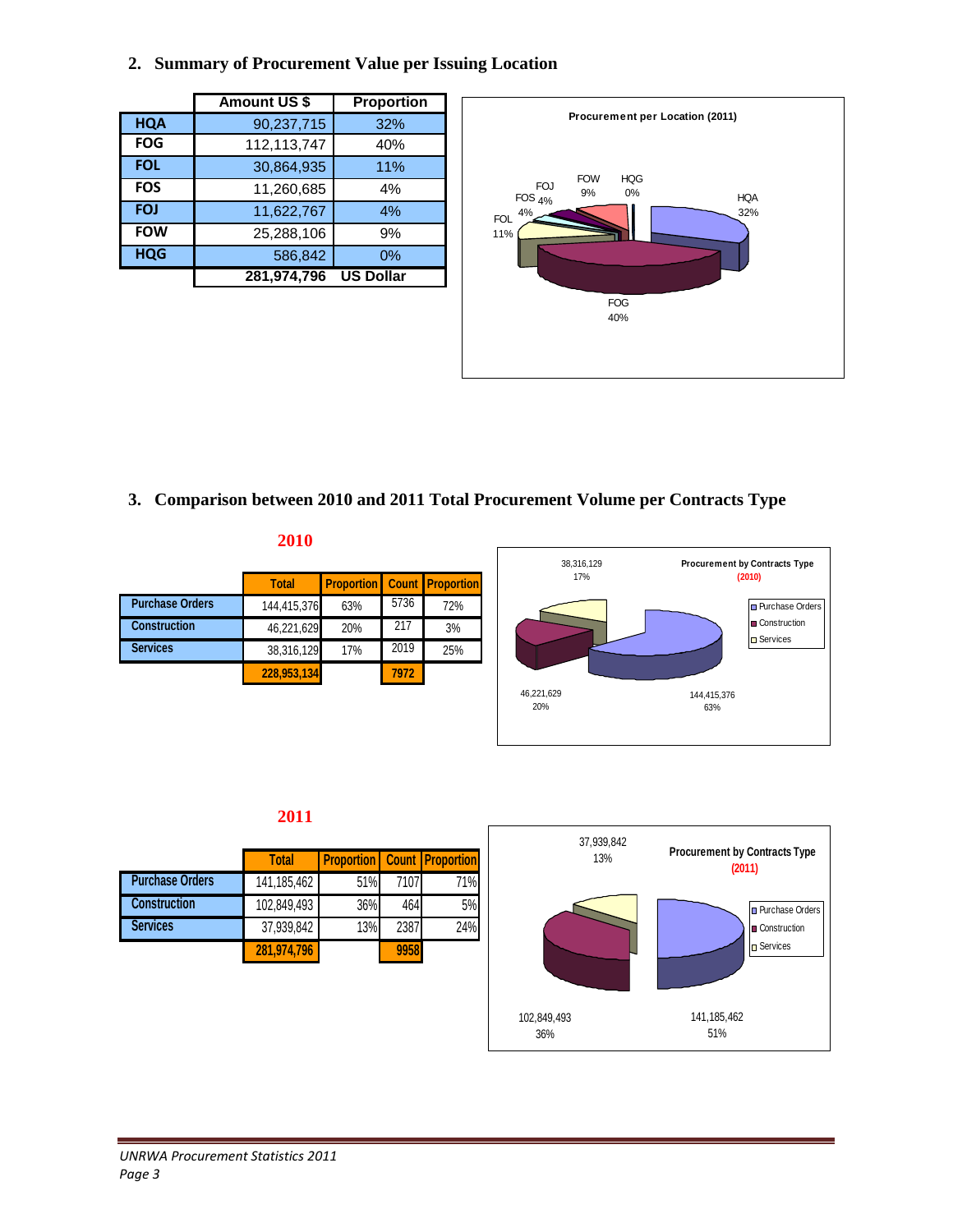# **2. Summary of Procurement Value per Issuing Location**

|            | <b>Amount US \$</b> | Proportion       |
|------------|---------------------|------------------|
| <b>HQA</b> | 90,237,715          | 32%              |
| <b>FOG</b> | 112,113,747         | 40%              |
| <b>FOL</b> | 30,864,935          | 11%              |
| <b>FOS</b> | 11,260,685          | 4%               |
| <b>FOJ</b> | 11,622,767          | 4%               |
| <b>FOW</b> | 25,288,106          | 9%               |
| <b>HQG</b> | 586,842             | 0%               |
|            | 281,974,796         | <b>US Dollar</b> |



**3. Comparison between 2010 and 2011 Total Procurement Volume per Contracts Type** 

| <b>Total</b> |     |                                                        |                                    |
|--------------|-----|--------------------------------------------------------|------------------------------------|
|              | 63% | 5736                                                   | 72%                                |
|              | 20% | 217                                                    | 3%                                 |
|              | 17% | 2019                                                   | 25%                                |
|              |     | 7972                                                   |                                    |
|              |     | 144,415,376<br>46,221,629<br>38,316,129<br>228,953,134 | <b>Proportion</b> Count Proportion |

**2010** 



# **2011**

|                        | <b>Total</b> | <b>Proportion</b> Count <b>Proportion</b> |      |     |
|------------------------|--------------|-------------------------------------------|------|-----|
| <b>Purchase Orders</b> | 141,185,462  | 51%                                       | 7107 | 71% |
| <b>Construction</b>    | 102,849,493  | 36%                                       | 464  | 5%  |
| <b>Services</b>        | 37,939,842   | 13%                                       | 2387 | 24% |
|                        | 281,974,796  |                                           | 9958 |     |

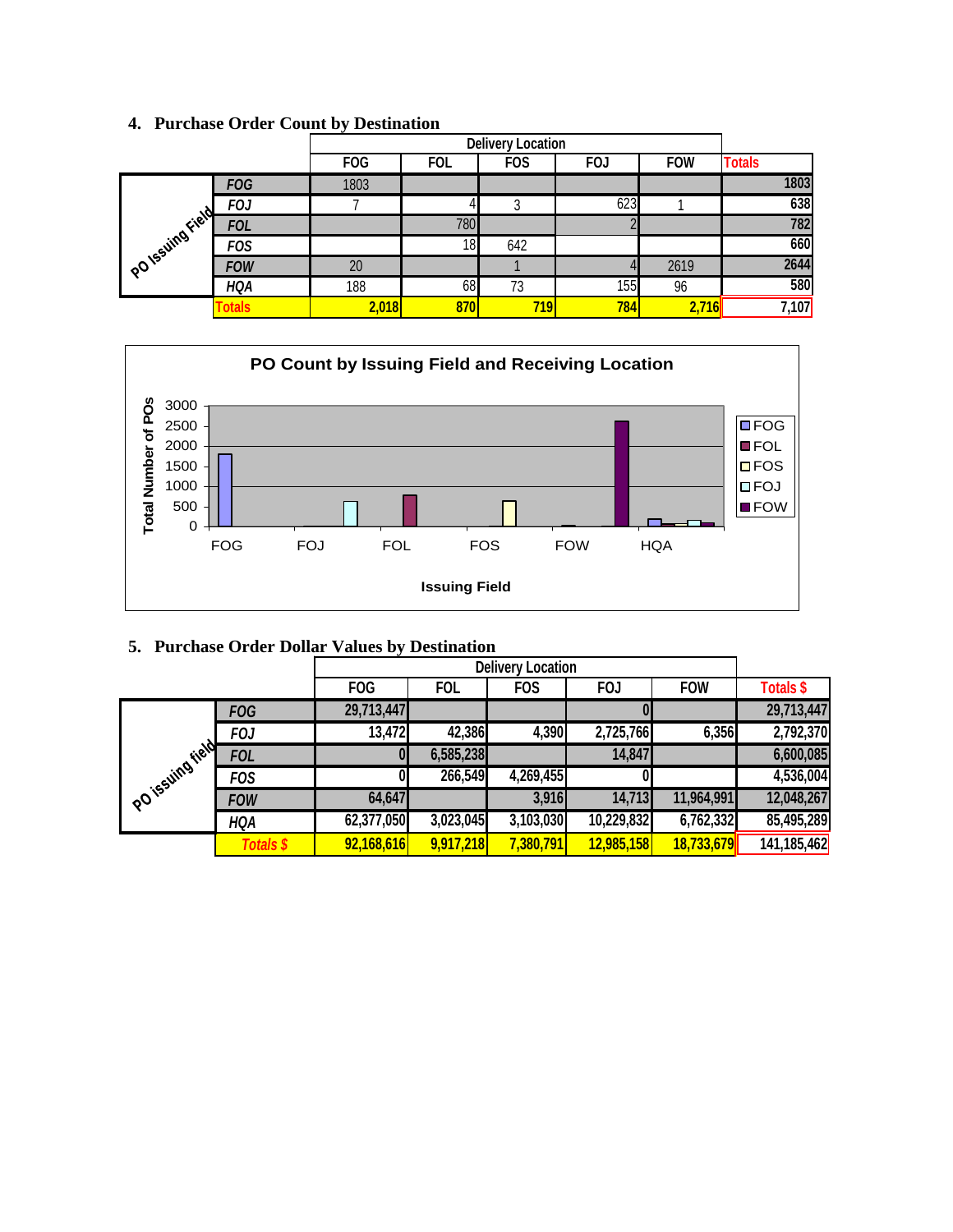|                  |                |            |            | <b>Delivery Location</b> |            |            |               |
|------------------|----------------|------------|------------|--------------------------|------------|------------|---------------|
|                  |                | <b>FOG</b> | <b>FOL</b> | <b>FOS</b>               | <b>FOJ</b> | <b>FOW</b> | <b>Totals</b> |
|                  | <b>FOG</b>     | 1803       |            |                          |            |            | 1803          |
|                  | <b>FOJ</b>     |            |            | 3                        | 623        |            | 638           |
|                  | <b>FOL</b>     |            | 780        |                          |            |            | 782           |
|                  | <b>FOS</b>     |            | 18         | 642                      |            |            | 660           |
| PO Issuing Field | <b>FOW</b>     | 20         |            |                          |            | 2619       | 2644          |
|                  | <b>HQA</b>     | 188        | 68         | 73                       | 155        | 96         | 580           |
|                  | <b>c</b> otals | 2,018      | 870        | 719                      | 784        | 2,716      | 7,107         |

# **4. Purchase Order Count by Destination**



|  |  |  | 5. Purchase Order Dollar Values by Destination |
|--|--|--|------------------------------------------------|
|  |  |  |                                                |

|                  |                  | <b>FOG</b>   | <b>FOL</b> | <b>FOS</b> | <b>FOJ</b> | <b>FOW</b> | <b>Totals \$</b> |
|------------------|------------------|--------------|------------|------------|------------|------------|------------------|
|                  | <b>FOG</b>       | 29,713,447   |            |            |            |            | 29,713,447       |
|                  | <b>FOJ</b>       | 13,472       | 42,386     | 4,390      | 2,725,766  | 6,356      | 2,792,370        |
| Polissiing iteld | <b>FOL</b>       | $\mathbf{0}$ | 6,585,238  |            | 14,847     |            | 6,600,085        |
|                  | <b>FOS</b>       | 0            | 266,549    | 4,269,455  |            |            | 4,536,004        |
|                  | <b>FOW</b>       | 64,647       |            | 3,916      | 14,713     | 11,964,991 | 12,048,267       |
|                  | <b>HQA</b>       | 62,377,050   | 3,023,045  | 3,103,030  | 10,229,832 | 6,762,332  | 85,495,289       |
|                  | <b>Totals \$</b> | 92,168,616   | 9,917,218  | 7,380,791  | 12,985,158 | 18,733,679 | 141,185,462      |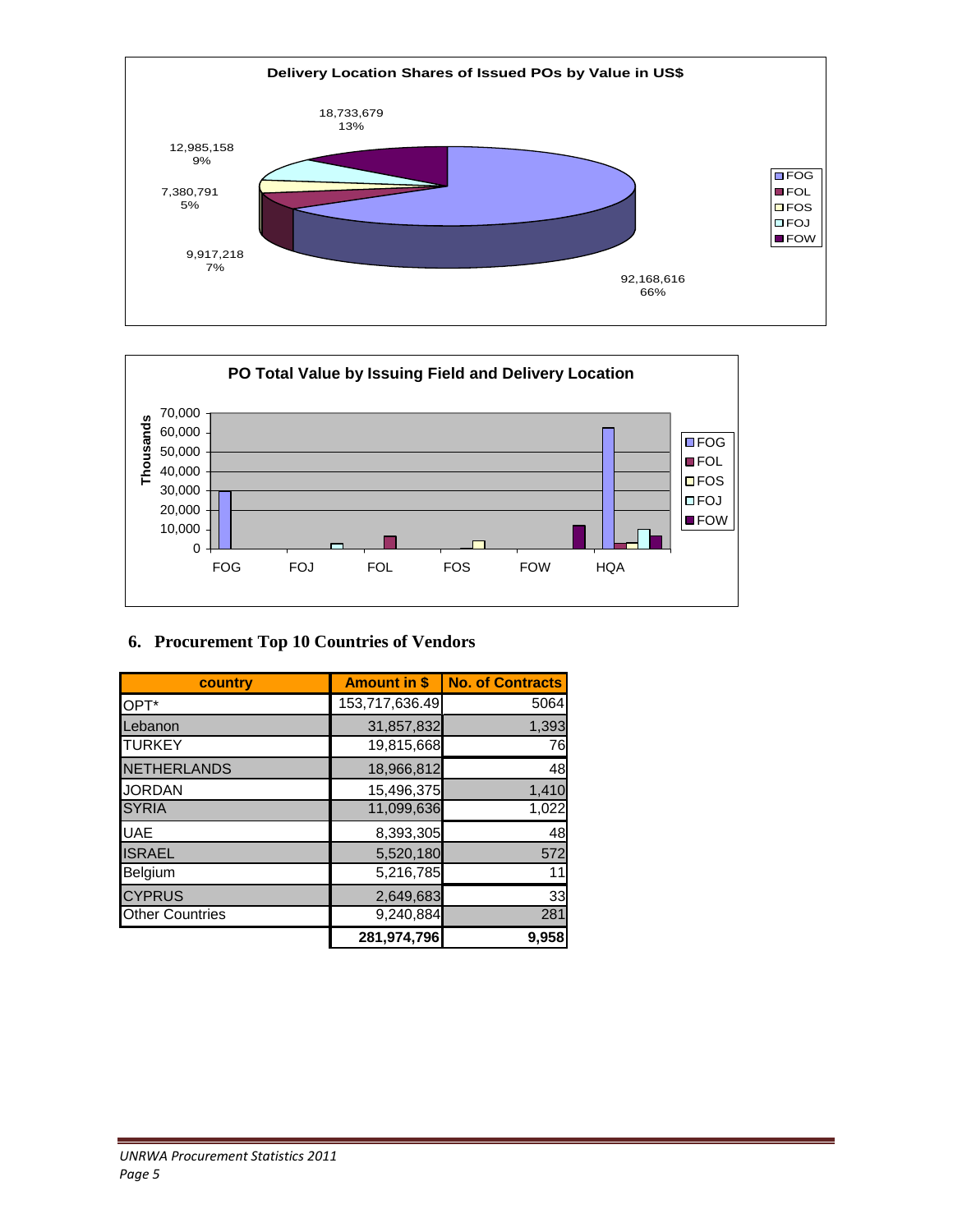



# **6. Procurement Top 10 Countries of Vendors**

| country                | <b>Amount in \$</b> | <b>No. of Contracts</b> |
|------------------------|---------------------|-------------------------|
| OPT*                   | 153,717,636.49      | 5064                    |
| Lebanon                | 31,857,832          | 1,393                   |
| <b>TURKEY</b>          | 19,815,668          | 76                      |
| <b>NETHERLANDS</b>     | 18,966,812          | 48                      |
| <b>JORDAN</b>          | 15,496,375          | 1,410                   |
| <b>SYRIA</b>           | 11,099,636          | 1,022                   |
| <b>UAE</b>             | 8,393,305           | 48                      |
| <b>ISRAEL</b>          | 5,520,180           | 572                     |
| Belgium                | 5,216,785           | 11                      |
| <b>CYPRUS</b>          | 2,649,683           | 33                      |
| <b>Other Countries</b> | 9,240,884           | 281                     |
|                        | 281,974,796         | 9,958                   |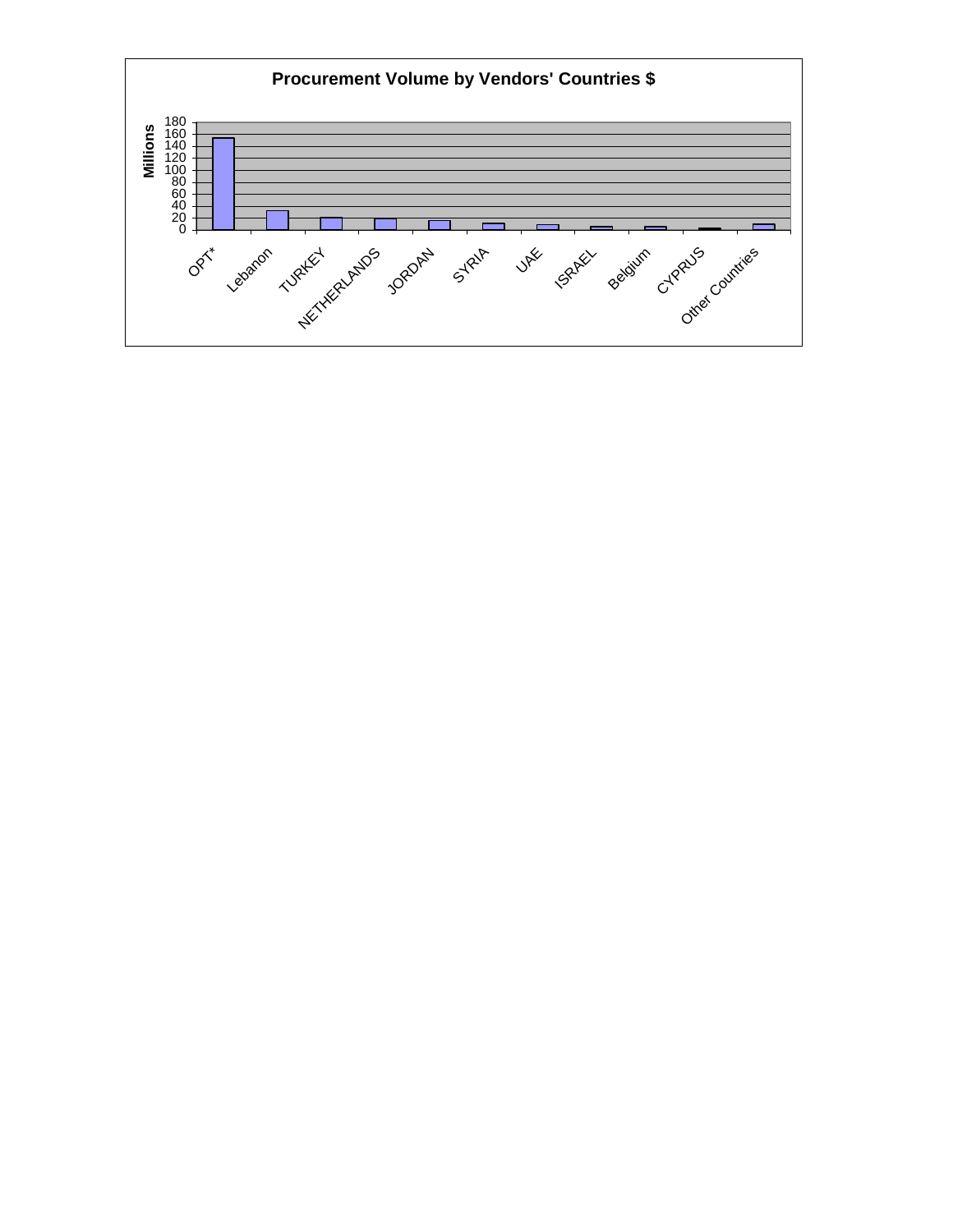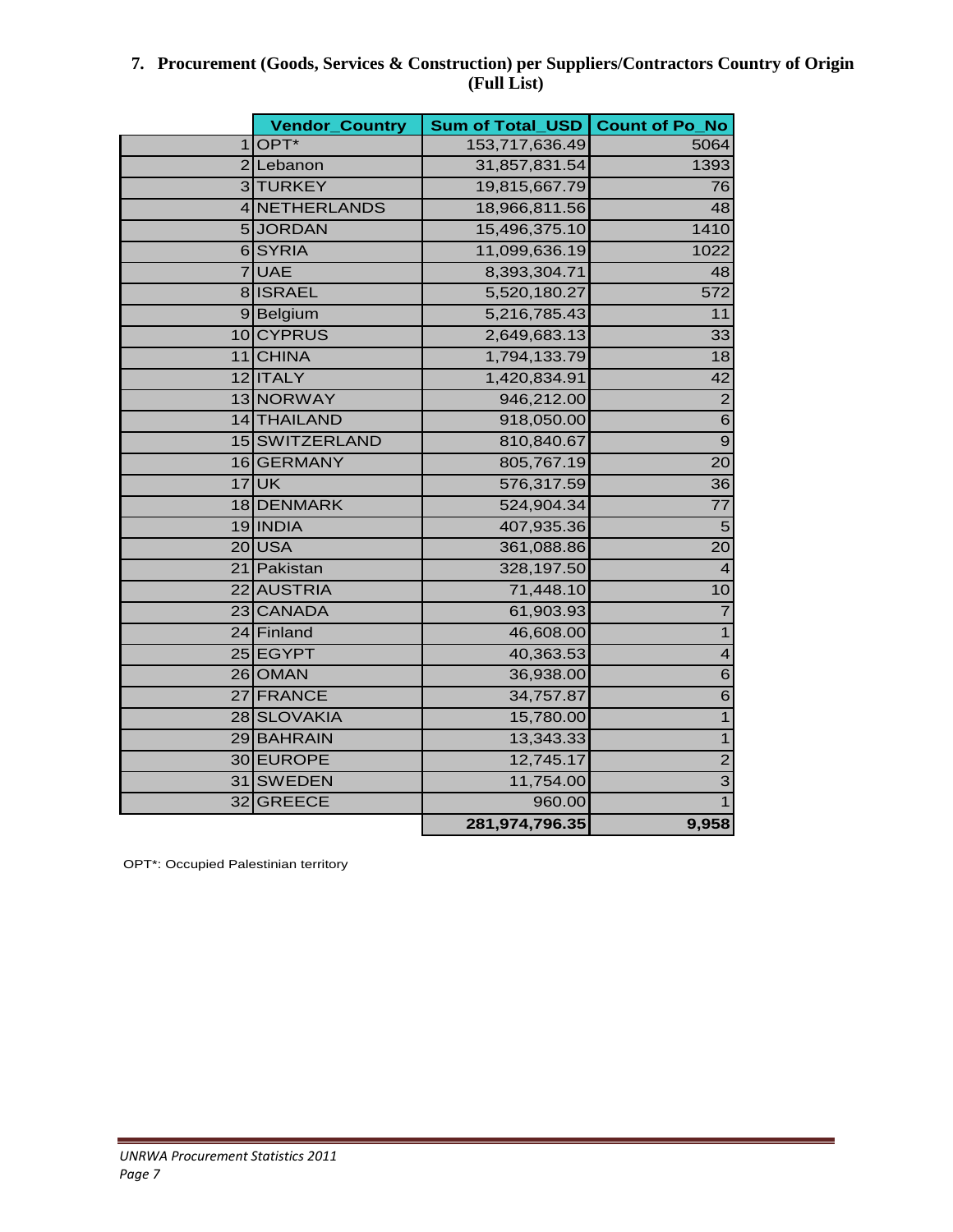# **7. Procurement (Goods, Services & Construction) per Suppliers/Contractors Country of Origin (Full List)**

|   | <b>Vendor_Country</b> | Sum of Total_USD | <b>Count of Po_No</b>   |
|---|-----------------------|------------------|-------------------------|
| 1 | OPT*                  | 153,717,636.49   | 5064                    |
|   | 2 Lebanon             | 31,857,831.54    | 1393                    |
|   | 3 TURKEY              | 19,815,667.79    | $\overline{76}$         |
|   | 4 NETHERLANDS         | 18,966,811.56    | 48                      |
|   | 5JORDAN               | 15,496,375.10    | 1410                    |
|   | 6SYRIA                | 11,099,636.19    | 1022                    |
|   | 7UAE                  | 8,393,304.71     | 48                      |
|   | 8 ISRAEL              | 5,520,180.27     | 572                     |
|   | 9Belgium              | 5,216,785.43     | 11                      |
|   | 10 CYPRUS             | 2,649,683.13     | 33                      |
|   | 11 CHINA              | 1,794,133.79     | 18                      |
|   | 12 ITALY              | 1,420,834.91     | 42                      |
|   | 13 NORWAY             | 946,212.00       | $\overline{2}$          |
|   | 14 THAILAND           | 918,050.00       | $\overline{6}$          |
|   | 15 SWITZERLAND        | 810,840.67       | $\overline{9}$          |
|   | 16 GERMANY            | 805,767.19       | 20                      |
|   | $17$ UK               | 576,317.59       | 36                      |
|   | 18 DENMARK            | 524,904.34       | $\overline{77}$         |
|   | 19 INDIA              | 407,935.36       | $\overline{5}$          |
|   | 20USA                 | 361,088.86       | 20                      |
|   | 21 Pakistan           | 328,197.50       | $\overline{4}$          |
|   | 22 AUSTRIA            | 71,448.10        | 10                      |
|   | 23 CANADA             | 61,903.93        | $\overline{7}$          |
|   | 24 Finland            | 46,608.00        | $\overline{1}$          |
|   | 25 EGYPT              | 40,363.53        | $\overline{\mathbf{4}}$ |
|   | 26 OMAN               | 36,938.00        | $\overline{6}$          |
|   | 27 FRANCE             | 34,757.87        | $\overline{6}$          |
|   | 28 SLOVAKIA           | 15,780.00        | $\overline{1}$          |
|   | 29 BAHRAIN            | 13,343.33        | $\overline{1}$          |
|   | 30 EUROPE             | 12,745.17        | $\overline{2}$          |
|   | 31 SWEDEN             | 11,754.00        | $\overline{3}$          |
|   | 32 GREECE             | 960.00           | $\overline{1}$          |
|   |                       | 281,974,796.35   | 9,958                   |

OPT\*: Occupied Palestinian territory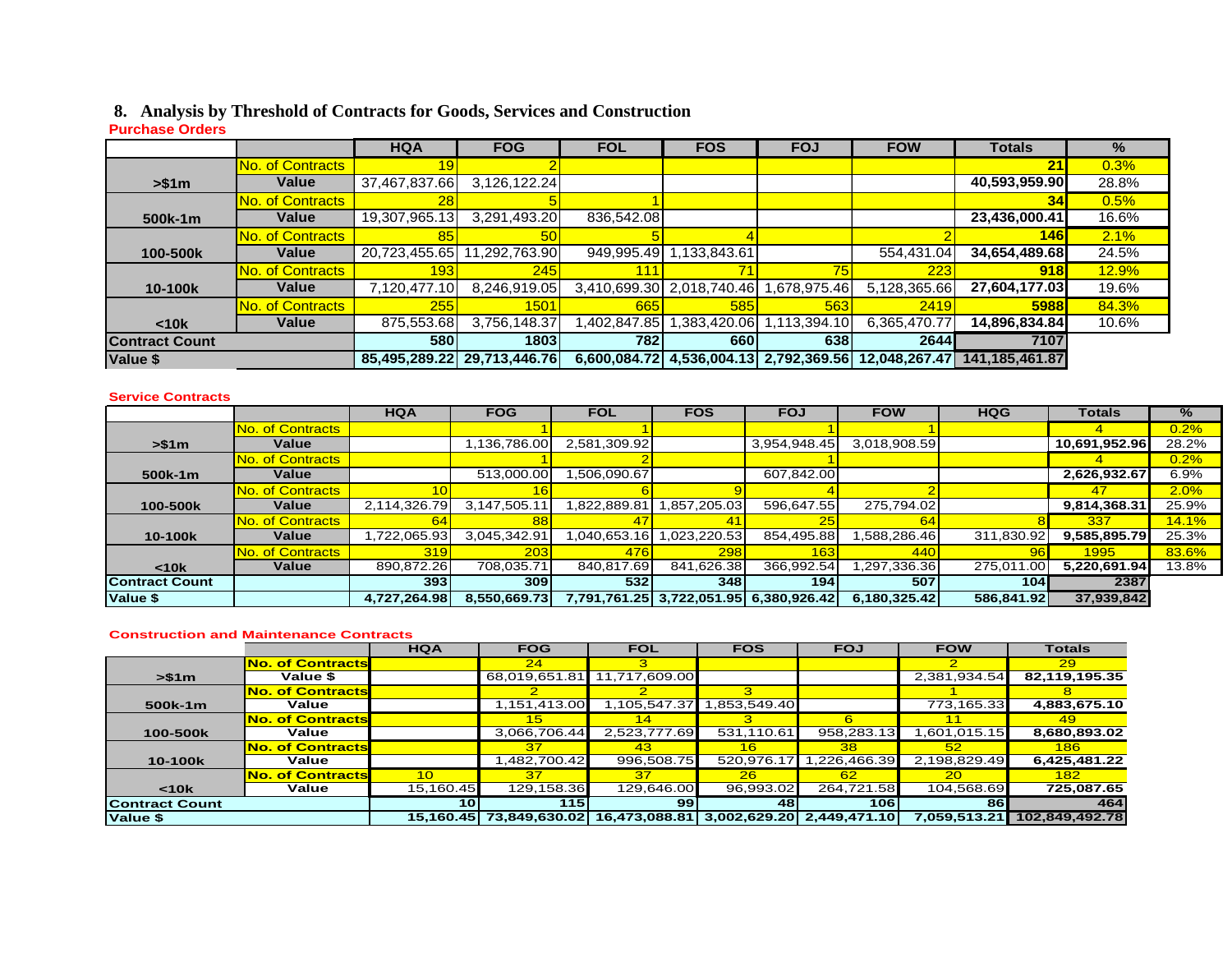#### **8. Analysis by Threshold of Contracts for Goods, Services and Construction**

#### **Purchase Orders**

|                       |                         | <b>HQA</b>       | <b>FOG</b>                  | <b>FOL</b>  | <b>FOS</b>                | <b>FOJ</b>                             | <b>FOW</b>    | <b>Totals</b>  | $\frac{9}{6}$ |
|-----------------------|-------------------------|------------------|-----------------------------|-------------|---------------------------|----------------------------------------|---------------|----------------|---------------|
|                       | No. of Contracts        |                  |                             |             |                           |                                        |               | 21             | 0.3%          |
| > \$1m                | <b>Value</b>            | 37,467,837.66    | 3,126,122.24                |             |                           |                                        |               | 40,593,959.90  | 28.8%         |
|                       | <b>No. of Contracts</b> |                  |                             |             |                           |                                        |               | 34             | 0.5%          |
| 500k-1m               | Value                   | 19,307,965.13    | 3,291,493.20                | 836,542.08  |                           |                                        |               | 23,436,000.41  | 16.6%         |
|                       | No. of Contracts        | 85               | <b>50</b>                   |             |                           |                                        |               | 146            | 2.1%          |
| 100-500k              | <b>Value</b>            |                  | 20,723,455.65 11,292,763.90 | 949,995.49  | 1,133,843.61              |                                        | 554,431.04    | 34,654,489.68  | 24.5%         |
|                       | No. of Contracts        | 193 <sub>h</sub> | <b>245</b>                  |             |                           | 75                                     | 223           | 918            | <b>12.9%</b>  |
| 10-100k               | Value                   | 7,120,477.10     | 8,246,919.05                |             | 3,410,699.30 2,018,740.46 | ,678,975.46                            | 5,128,365.66  | 27,604,177.03  | 19.6%         |
|                       | No. of Contracts        | 255              | 15011                       | 665I        | 585                       | 563                                    | 2419          | 5988           | 84.3%         |
| < 10k                 | Value                   | 875,553.68       | 3,756,148.37                | ,402,847.85 | ,383,420.06               | 113,394.10                             | 6,365,470.77  | 14,896,834.84  | 10.6%         |
| <b>Contract Count</b> |                         | <b>580</b>       | 1803                        | 782         | 660l                      | 638                                    | 2644          | 7107           |               |
| Value \$              |                         |                  | 85,495,289.22 29,713,446.76 |             |                           | 6,600,084.72 4,536,004.13 2,792,369.56 | 12,048,267.47 | 141.185.461.87 |               |

#### **Service Contracts**

|                       |                         | <b>HQA</b>       | <b>FOG</b>   | <b>FOL</b>   | <b>FOS</b>   | <b>FOJ</b>   | <b>FOW</b>   | <b>HQG</b> | Totals        | $\%$         |
|-----------------------|-------------------------|------------------|--------------|--------------|--------------|--------------|--------------|------------|---------------|--------------|
|                       | No. of Contracts        |                  |              |              |              |              |              |            |               | 0.2%         |
| > \$1m                | <b>Value</b>            |                  | .136,786.00  | 2,581,309.92 |              | 3,954,948.45 | 3,018,908.59 |            | 10,691,952.96 | 28.2%        |
|                       | <b>No. of Contracts</b> |                  |              |              |              |              |              |            |               | 0.2%         |
| 500k-1m               | <b>Value</b>            |                  | 513,000.00   | ,506,090.67  |              | 607,842.00   |              |            | 2,626,932.67  | 6.9%         |
|                       | No. of Contracts        |                  |              |              |              |              |              |            | 47            | 2.0%         |
| 100-500k              | <b>Value</b>            | 2,114,326.79     | 3,147,505.11 | .822,889.81  | .857,205.03  | 596,647.55   | 275,794.02   |            | 9,814,368.31  | 25.9%        |
|                       | No. of Contracts        | 64               |              |              |              | 25           | 64           |            | 337           | <b>14.1%</b> |
| 10-100k               | Value                   | ,722,065.93      | 3,045,342.91 | 040,653.16   | .023,220.53  | 854,495.88   | .588,286.46  | 311,830.92 | 9,585,895.79  | 25.3%        |
|                       | No. of Contracts        | 319              | <b>2031</b>  | 476          | 298          | 163          | <b>440</b>   | 96         | 1995          | 83.6%        |
| $10k$                 | <b>Value</b>            | 890,872.26       | 708,035.71   | 840,817.69   | 841,626.38   | 366,992.54   | ,297,336.36  | 275,011.00 | 5,220,691.94  | 13.8%        |
| <b>Contract Count</b> |                         | 393 <sub>l</sub> | 309I         | 532          | 348I         | 194          | 507          | 104        | 2387          |              |
| Value \$              |                         | 4,727,264.98     | 8,550,669.73 | 7,791,761.25 | 3,722,051.95 | 6.380.926.42 | 6,180,325.42 | 586,841.92 | 37,939,842    |              |

#### **Construction and Maintenance Contracts**

|                       |                         | <b>HQA</b>      | <b>FOG</b>    | <b>FOL</b>    | <b>FOS</b>      | <b>FOJ</b>                | <b>FOW</b>   | <b>Totals</b>  |
|-----------------------|-------------------------|-----------------|---------------|---------------|-----------------|---------------------------|--------------|----------------|
|                       | <b>No. of Contracts</b> |                 | 24            |               |                 |                           | 2            | 29             |
| > \$1m                | Value \$                |                 | 68,019,651.81 | 11,717,609.00 |                 |                           | 2,381,934.54 | 82,119,195.35  |
|                       | <b>No. of Contracts</b> |                 |               |               |                 |                           |              |                |
| 500k-1m               | Value                   |                 | 1,151,413.00  | 1,105,547.37  | .853,549.40     |                           | 773,165.33   | 4,883,675.10   |
|                       | <b>No. of Contracts</b> |                 | 15            |               |                 |                           |              | -49            |
| 100-500k              | Value                   |                 | 3,066,706.44  | 2,523,777.69  | 531,110.61      | 958,283.13                | .601,015.15  | 8,680,893.02   |
|                       | <b>No. of Contracts</b> |                 | 37            | 43            | 16 <sup>1</sup> | 38                        | 52           | 186            |
| 10-100k               | Value                   |                 | 482,700.42    | 996,508.75    | 520,976.17      | .226,466.39               | 2,198,829.49 | 6,425,481.22   |
|                       | <b>No. of Contracts</b> | 10 <sup>1</sup> | 37            | 37            | 26              | 62                        | 20           | 182            |
| < 10k                 | Value                   | 15,160.45       | 129,158.36    | 129,646.00    | 96,993.02       | 264,721.58                | 104,568.69   | 725,087.65     |
| <b>Contract Count</b> |                         | 10              | 115           | 99            | 48              | 106I                      | 861          | 464            |
| Value \$              |                         | 15.160.45       | 73.849.630.02 | 16,473,088.81 |                 | 3,002,629.20 2,449,471.10 | 7,059,513.21 | 102,849,492.78 |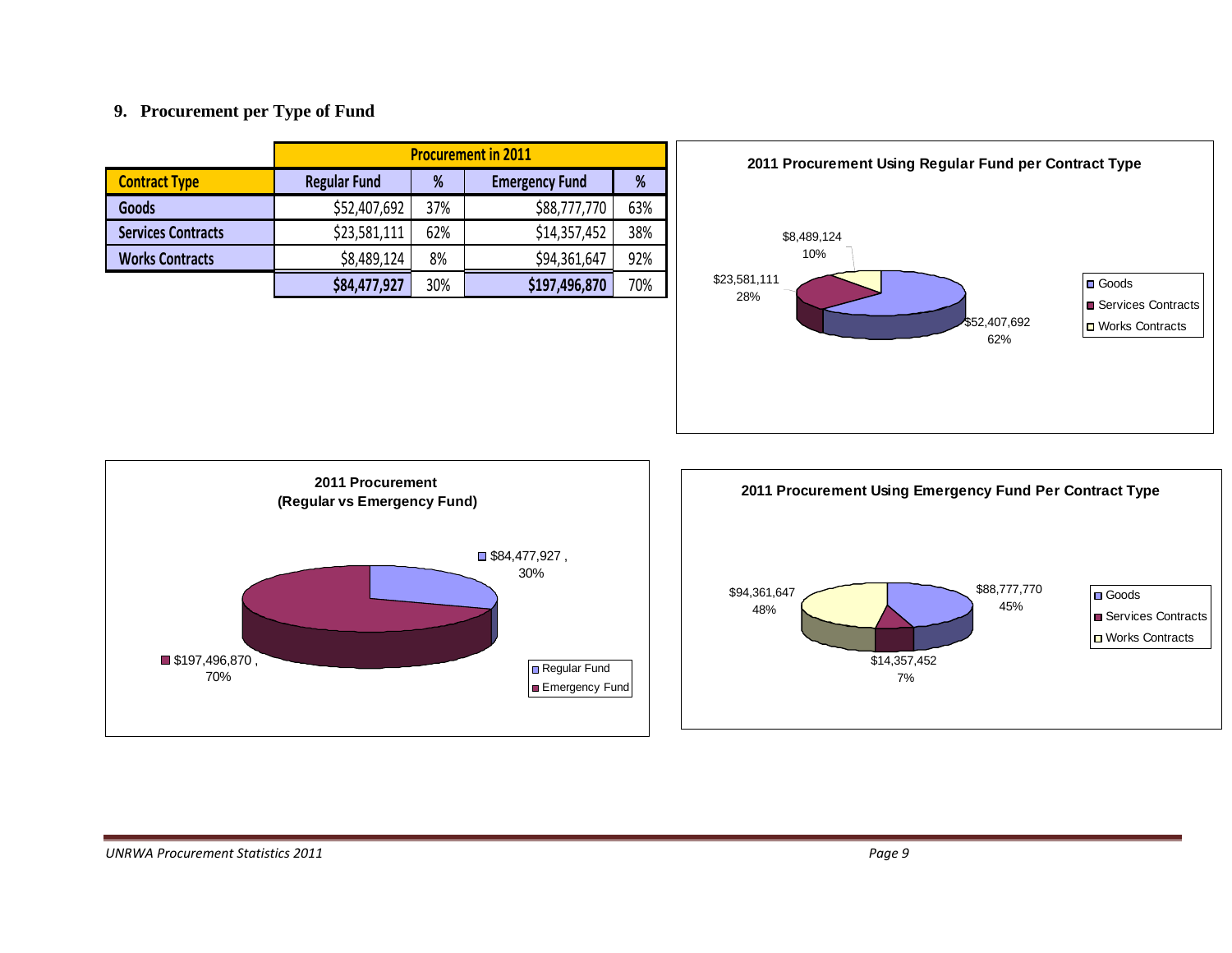#### **9. Procurement per Type of Fund**

|                           | <b>Procurement in 2011</b> |     |                       |     |
|---------------------------|----------------------------|-----|-----------------------|-----|
| <b>Contract Type</b>      | <b>Regular Fund</b>        | %   | <b>Emergency Fund</b> | %   |
| <b>Goods</b>              | \$52,407,692               | 37% | \$88,777,770          | 63% |
| <b>Services Contracts</b> | \$23,581,111               | 62% | \$14,357,452          | 38% |
| <b>Works Contracts</b>    | \$8,489,124                | 8%  | \$94,361,647          | 92% |
|                           | \$84,477,927               | 30% | \$197,496,870         | 70% |





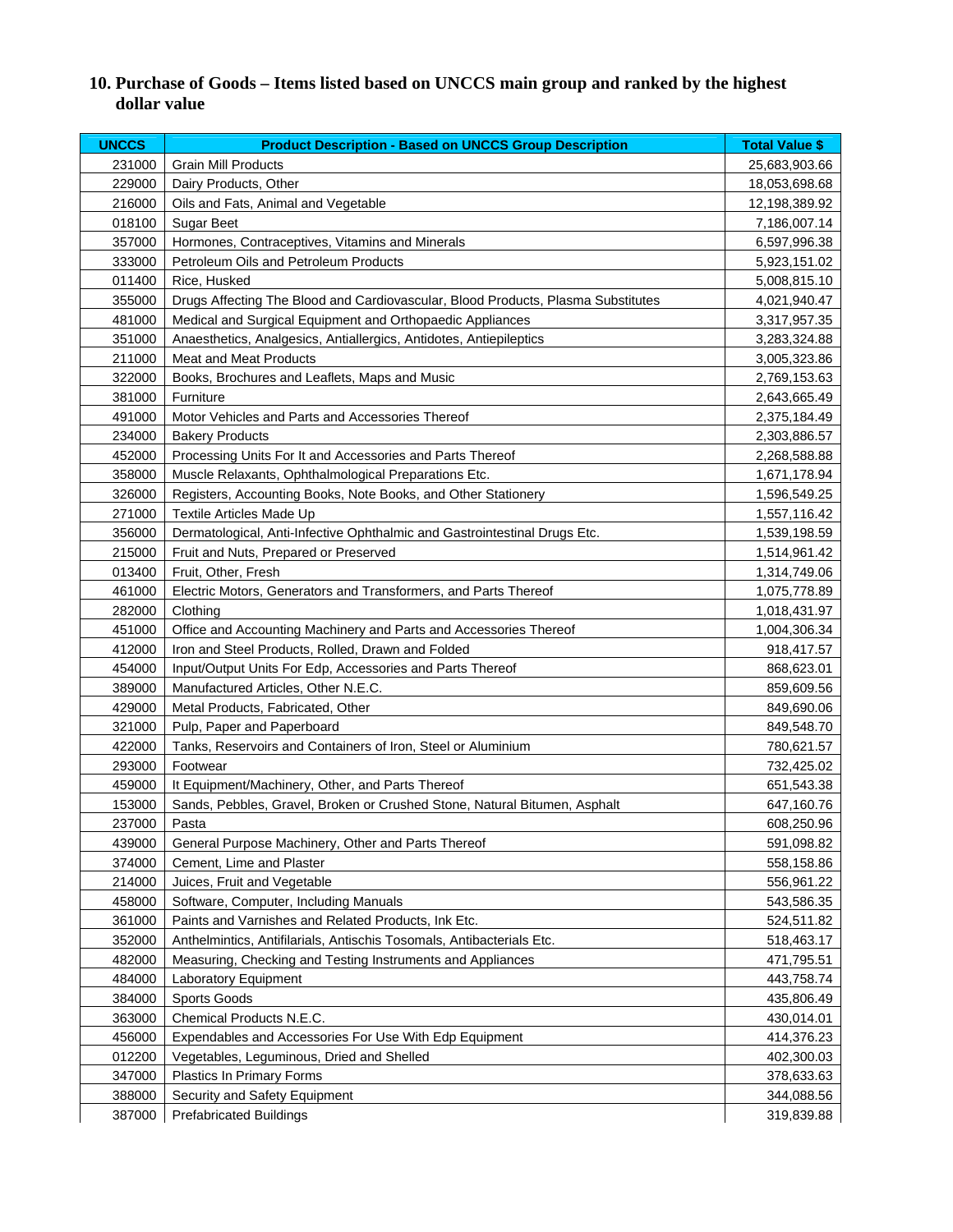# **10. Purchase of Goods – Items listed based on UNCCS main group and ranked by the highest dollar value**

| <b>UNCCS</b> | <b>Product Description - Based on UNCCS Group Description</b>                    | <b>Total Value \$</b> |
|--------------|----------------------------------------------------------------------------------|-----------------------|
| 231000       | <b>Grain Mill Products</b>                                                       | 25,683,903.66         |
| 229000       | Dairy Products, Other                                                            | 18,053,698.68         |
| 216000       | Oils and Fats, Animal and Vegetable                                              | 12,198,389.92         |
| 018100       | <b>Sugar Beet</b>                                                                | 7,186,007.14          |
| 357000       | Hormones, Contraceptives, Vitamins and Minerals                                  | 6,597,996.38          |
| 333000       | Petroleum Oils and Petroleum Products                                            | 5,923,151.02          |
| 011400       | Rice, Husked                                                                     | 5,008,815.10          |
| 355000       | Drugs Affecting The Blood and Cardiovascular, Blood Products, Plasma Substitutes | 4,021,940.47          |
| 481000       | Medical and Surgical Equipment and Orthopaedic Appliances                        | 3,317,957.35          |
| 351000       | Anaesthetics, Analgesics, Antiallergics, Antidotes, Antiepileptics               | 3,283,324.88          |
| 211000       | <b>Meat and Meat Products</b>                                                    | 3,005,323.86          |
| 322000       | Books, Brochures and Leaflets, Maps and Music                                    | 2,769,153.63          |
| 381000       | Furniture                                                                        | 2,643,665.49          |
| 491000       | Motor Vehicles and Parts and Accessories Thereof                                 | 2,375,184.49          |
| 234000       | <b>Bakery Products</b>                                                           | 2,303,886.57          |
| 452000       | Processing Units For It and Accessories and Parts Thereof                        | 2,268,588.88          |
| 358000       | Muscle Relaxants, Ophthalmological Preparations Etc.                             | 1,671,178.94          |
| 326000       | Registers, Accounting Books, Note Books, and Other Stationery                    | 1,596,549.25          |
| 271000       | Textile Articles Made Up                                                         | 1,557,116.42          |
| 356000       | Dermatological, Anti-Infective Ophthalmic and Gastrointestinal Drugs Etc.        | 1,539,198.59          |
| 215000       | Fruit and Nuts, Prepared or Preserved                                            | 1,514,961.42          |
| 013400       | Fruit, Other, Fresh                                                              | 1,314,749.06          |
| 461000       | Electric Motors, Generators and Transformers, and Parts Thereof                  | 1,075,778.89          |
| 282000       | Clothing                                                                         | 1,018,431.97          |
| 451000       | Office and Accounting Machinery and Parts and Accessories Thereof                | 1,004,306.34          |
| 412000       | Iron and Steel Products, Rolled, Drawn and Folded                                | 918,417.57            |
| 454000       | Input/Output Units For Edp, Accessories and Parts Thereof                        | 868,623.01            |
| 389000       | Manufactured Articles, Other N.E.C.                                              | 859,609.56            |
| 429000       | Metal Products, Fabricated, Other                                                | 849,690.06            |
| 321000       | Pulp, Paper and Paperboard                                                       | 849,548.70            |
| 422000       | Tanks, Reservoirs and Containers of Iron, Steel or Aluminium                     | 780,621.57            |
| 293000       | Footwear                                                                         | 732,425.02            |
| 459000       | It Equipment/Machinery, Other, and Parts Thereof                                 | 651,543.38            |
| 153000       | Sands, Pebbles, Gravel, Broken or Crushed Stone, Natural Bitumen, Asphalt        | 647,160.76            |
| 237000       | Pasta                                                                            | 608,250.96            |
| 439000       | General Purpose Machinery, Other and Parts Thereof                               | 591,098.82            |
| 374000       | Cement, Lime and Plaster                                                         | 558,158.86            |
| 214000       | Juices, Fruit and Vegetable                                                      | 556,961.22            |
| 458000       | Software, Computer, Including Manuals                                            | 543,586.35            |
| 361000       | Paints and Varnishes and Related Products, Ink Etc.                              | 524,511.82            |
| 352000       | Anthelmintics, Antifilarials, Antischis Tosomals, Antibacterials Etc.            | 518,463.17            |
| 482000       | Measuring, Checking and Testing Instruments and Appliances                       | 471,795.51            |
| 484000       | Laboratory Equipment                                                             | 443,758.74            |
| 384000       | Sports Goods                                                                     | 435,806.49            |
| 363000       | Chemical Products N.E.C.                                                         | 430,014.01            |
| 456000       | Expendables and Accessories For Use With Edp Equipment                           | 414,376.23            |
| 012200       | Vegetables, Leguminous, Dried and Shelled                                        | 402,300.03            |
| 347000       | Plastics In Primary Forms                                                        | 378,633.63            |
| 388000       | Security and Safety Equipment                                                    | 344,088.56            |
| 387000       | <b>Prefabricated Buildings</b>                                                   | 319,839.88            |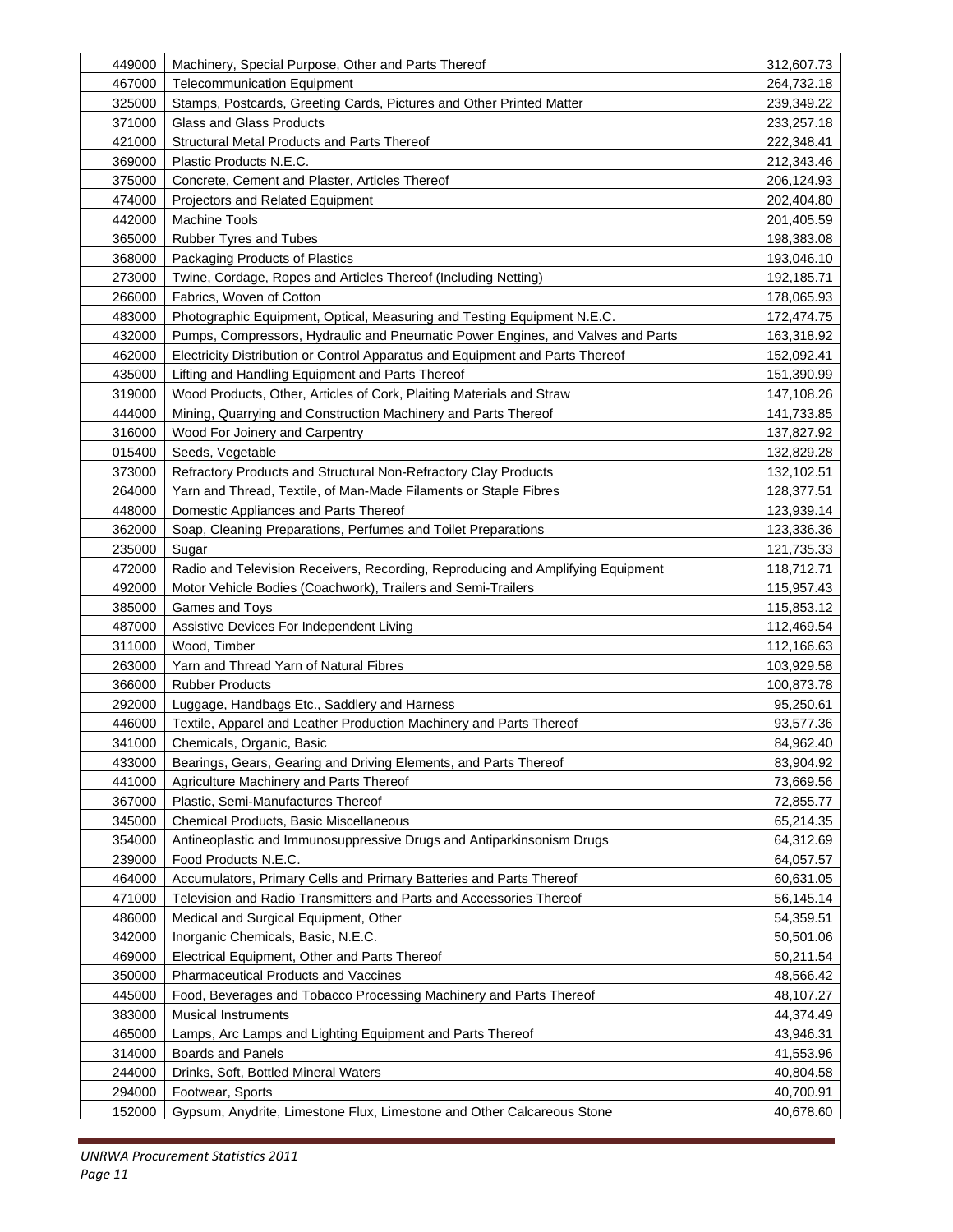| 449000 | Machinery, Special Purpose, Other and Parts Thereof                             | 312,607.73 |
|--------|---------------------------------------------------------------------------------|------------|
| 467000 | <b>Telecommunication Equipment</b>                                              | 264,732.18 |
| 325000 | Stamps, Postcards, Greeting Cards, Pictures and Other Printed Matter            | 239,349.22 |
| 371000 | <b>Glass and Glass Products</b>                                                 | 233,257.18 |
| 421000 | Structural Metal Products and Parts Thereof                                     | 222,348.41 |
| 369000 | Plastic Products N.E.C.                                                         | 212,343.46 |
| 375000 | Concrete, Cement and Plaster, Articles Thereof                                  | 206,124.93 |
| 474000 | Projectors and Related Equipment                                                | 202,404.80 |
| 442000 | <b>Machine Tools</b>                                                            | 201,405.59 |
| 365000 | Rubber Tyres and Tubes                                                          | 198,383.08 |
| 368000 | Packaging Products of Plastics                                                  | 193,046.10 |
| 273000 | Twine, Cordage, Ropes and Articles Thereof (Including Netting)                  | 192,185.71 |
| 266000 | Fabrics, Woven of Cotton                                                        | 178,065.93 |
| 483000 | Photographic Equipment, Optical, Measuring and Testing Equipment N.E.C.         | 172,474.75 |
| 432000 | Pumps, Compressors, Hydraulic and Pneumatic Power Engines, and Valves and Parts | 163,318.92 |
| 462000 | Electricity Distribution or Control Apparatus and Equipment and Parts Thereof   | 152,092.41 |
| 435000 | Lifting and Handling Equipment and Parts Thereof                                | 151,390.99 |
| 319000 | Wood Products, Other, Articles of Cork, Plaiting Materials and Straw            | 147,108.26 |
| 444000 | Mining, Quarrying and Construction Machinery and Parts Thereof                  | 141,733.85 |
| 316000 | Wood For Joinery and Carpentry                                                  | 137,827.92 |
| 015400 | Seeds, Vegetable                                                                | 132,829.28 |
| 373000 | Refractory Products and Structural Non-Refractory Clay Products                 | 132,102.51 |
| 264000 | Yarn and Thread, Textile, of Man-Made Filaments or Staple Fibres                | 128,377.51 |
| 448000 | Domestic Appliances and Parts Thereof                                           | 123,939.14 |
| 362000 | Soap, Cleaning Preparations, Perfumes and Toilet Preparations                   | 123,336.36 |
| 235000 | Sugar                                                                           | 121,735.33 |
| 472000 | Radio and Television Receivers, Recording, Reproducing and Amplifying Equipment | 118,712.71 |
| 492000 | Motor Vehicle Bodies (Coachwork), Trailers and Semi-Trailers                    | 115,957.43 |
| 385000 | Games and Toys                                                                  | 115,853.12 |
| 487000 | Assistive Devices For Independent Living                                        | 112,469.54 |
| 311000 | Wood, Timber                                                                    | 112,166.63 |
| 263000 | Yarn and Thread Yarn of Natural Fibres                                          | 103,929.58 |
| 366000 | <b>Rubber Products</b>                                                          | 100,873.78 |
| 292000 | Luggage, Handbags Etc., Saddlery and Harness                                    | 95,250.61  |
| 446000 | Textile, Apparel and Leather Production Machinery and Parts Thereof             | 93,577.36  |
| 341000 | Chemicals, Organic, Basic                                                       | 84,962.40  |
| 433000 | Bearings, Gears, Gearing and Driving Elements, and Parts Thereof                | 83,904.92  |
| 441000 | Agriculture Machinery and Parts Thereof                                         | 73,669.56  |
| 367000 | Plastic, Semi-Manufactures Thereof                                              | 72,855.77  |
| 345000 | Chemical Products, Basic Miscellaneous                                          | 65,214.35  |
| 354000 | Antineoplastic and Immunosuppressive Drugs and Antiparkinsonism Drugs           | 64,312.69  |
| 239000 | Food Products N.E.C.                                                            | 64,057.57  |
| 464000 | Accumulators, Primary Cells and Primary Batteries and Parts Thereof             | 60,631.05  |
| 471000 | Television and Radio Transmitters and Parts and Accessories Thereof             | 56,145.14  |
| 486000 | Medical and Surgical Equipment, Other                                           | 54,359.51  |
| 342000 | Inorganic Chemicals, Basic, N.E.C.                                              | 50,501.06  |
| 469000 | Electrical Equipment, Other and Parts Thereof                                   | 50,211.54  |
| 350000 | <b>Pharmaceutical Products and Vaccines</b>                                     | 48,566.42  |
| 445000 | Food, Beverages and Tobacco Processing Machinery and Parts Thereof              | 48,107.27  |
| 383000 | <b>Musical Instruments</b>                                                      | 44,374.49  |
| 465000 | Lamps, Arc Lamps and Lighting Equipment and Parts Thereof                       | 43,946.31  |
| 314000 | <b>Boards and Panels</b>                                                        | 41,553.96  |
| 244000 | Drinks, Soft, Bottled Mineral Waters                                            | 40,804.58  |
| 294000 | Footwear, Sports                                                                | 40,700.91  |
| 152000 | Gypsum, Anydrite, Limestone Flux, Limestone and Other Calcareous Stone          | 40,678.60  |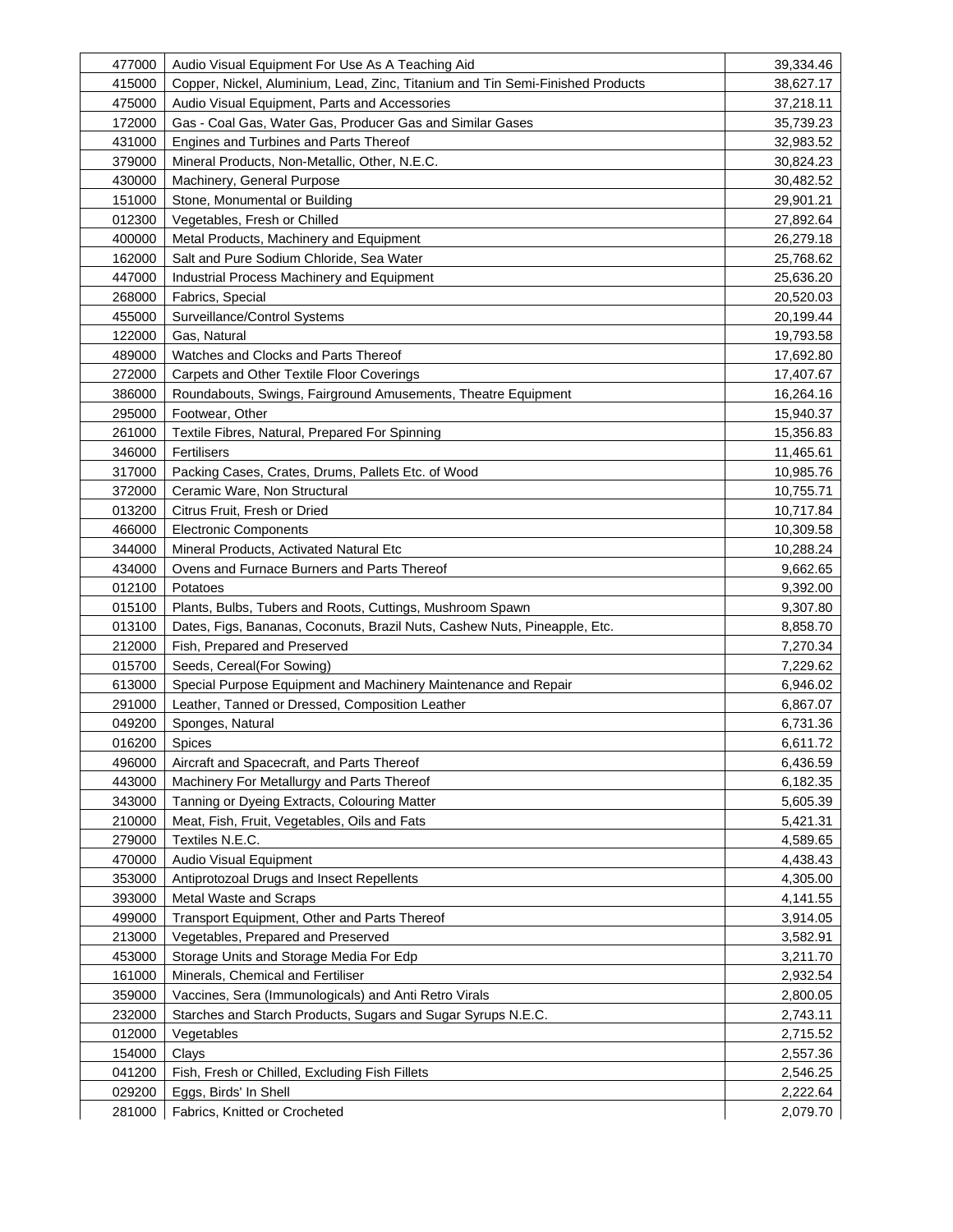| 477000           | Audio Visual Equipment For Use As A Teaching Aid                               | 39,334.46            |
|------------------|--------------------------------------------------------------------------------|----------------------|
| 415000           | Copper, Nickel, Aluminium, Lead, Zinc, Titanium and Tin Semi-Finished Products | 38,627.17            |
| 475000           | Audio Visual Equipment, Parts and Accessories                                  | 37,218.11            |
| 172000           | Gas - Coal Gas, Water Gas, Producer Gas and Similar Gases                      | 35,739.23            |
| 431000           | Engines and Turbines and Parts Thereof                                         | 32,983.52            |
| 379000           | Mineral Products, Non-Metallic, Other, N.E.C.                                  | 30,824.23            |
| 430000           | Machinery, General Purpose                                                     | 30,482.52            |
| 151000           | Stone, Monumental or Building                                                  | 29,901.21            |
| 012300           | Vegetables, Fresh or Chilled                                                   | 27,892.64            |
| 400000           | Metal Products, Machinery and Equipment                                        | 26,279.18            |
| 162000           | Salt and Pure Sodium Chloride, Sea Water                                       | 25,768.62            |
| 447000           | Industrial Process Machinery and Equipment                                     | 25,636.20            |
| 268000           | Fabrics, Special                                                               | 20,520.03            |
| 455000           | Surveillance/Control Systems                                                   | 20,199.44            |
| 122000           | Gas, Natural                                                                   | 19,793.58            |
| 489000           | Watches and Clocks and Parts Thereof                                           | 17,692.80            |
| 272000           | Carpets and Other Textile Floor Coverings                                      | 17,407.67            |
| 386000           | Roundabouts, Swings, Fairground Amusements, Theatre Equipment                  | 16,264.16            |
| 295000           | Footwear, Other                                                                | 15,940.37            |
| 261000           | Textile Fibres, Natural, Prepared For Spinning                                 | 15,356.83            |
| 346000           | Fertilisers                                                                    | 11,465.61            |
| 317000           | Packing Cases, Crates, Drums, Pallets Etc. of Wood                             | 10,985.76            |
| 372000           | Ceramic Ware, Non Structural                                                   | 10,755.71            |
| 013200           | Citrus Fruit, Fresh or Dried                                                   | 10,717.84            |
| 466000           | <b>Electronic Components</b>                                                   | 10,309.58            |
| 344000           | Mineral Products, Activated Natural Etc                                        | 10,288.24            |
| 434000           | Ovens and Furnace Burners and Parts Thereof                                    | 9,662.65             |
| 012100           | Potatoes                                                                       | 9,392.00             |
| 015100           | Plants, Bulbs, Tubers and Roots, Cuttings, Mushroom Spawn                      | 9,307.80             |
| 013100           | Dates, Figs, Bananas, Coconuts, Brazil Nuts, Cashew Nuts, Pineapple, Etc.      | 8,858.70             |
| 212000           | Fish, Prepared and Preserved                                                   | 7,270.34             |
| 015700           | Seeds, Cereal(For Sowing)                                                      | 7,229.62             |
| 613000           | Special Purpose Equipment and Machinery Maintenance and Repair                 | 6,946.02             |
| 291000           | Leather, Tanned or Dressed, Composition Leather                                | 6,867.07             |
| 049200           | Sponges, Natural                                                               | 6,731.36             |
| 016200           | Spices                                                                         | 6,611.72             |
| 496000           | Aircraft and Spacecraft, and Parts Thereof                                     | 6,436.59             |
| 443000           | Machinery For Metallurgy and Parts Thereof                                     | 6,182.35             |
| 343000           | Tanning or Dyeing Extracts, Colouring Matter                                   | 5,605.39             |
|                  |                                                                                |                      |
| 210000<br>279000 | Meat, Fish, Fruit, Vegetables, Oils and Fats<br>Textiles N.E.C.                | 5,421.31<br>4,589.65 |
| 470000           | Audio Visual Equipment                                                         | 4,438.43             |
| 353000           | Antiprotozoal Drugs and Insect Repellents                                      | 4,305.00             |
| 393000           | Metal Waste and Scraps                                                         | 4,141.55             |
|                  | Transport Equipment, Other and Parts Thereof                                   |                      |
| 499000           |                                                                                | 3,914.05             |
| 213000           | Vegetables, Prepared and Preserved                                             | 3,582.91             |
| 453000           | Storage Units and Storage Media For Edp                                        | 3,211.70             |
| 161000           | Minerals, Chemical and Fertiliser                                              | 2,932.54             |
| 359000           | Vaccines, Sera (Immunologicals) and Anti Retro Virals                          | 2,800.05             |
| 232000           | Starches and Starch Products, Sugars and Sugar Syrups N.E.C.                   | 2,743.11             |
| 012000           | Vegetables                                                                     | 2,715.52             |
| 154000           | Clays                                                                          | 2,557.36             |
| 041200           | Fish, Fresh or Chilled, Excluding Fish Fillets                                 | 2,546.25             |
| 029200           | Eggs, Birds' In Shell                                                          | 2,222.64             |
| 281000           | Fabrics, Knitted or Crocheted                                                  | 2,079.70             |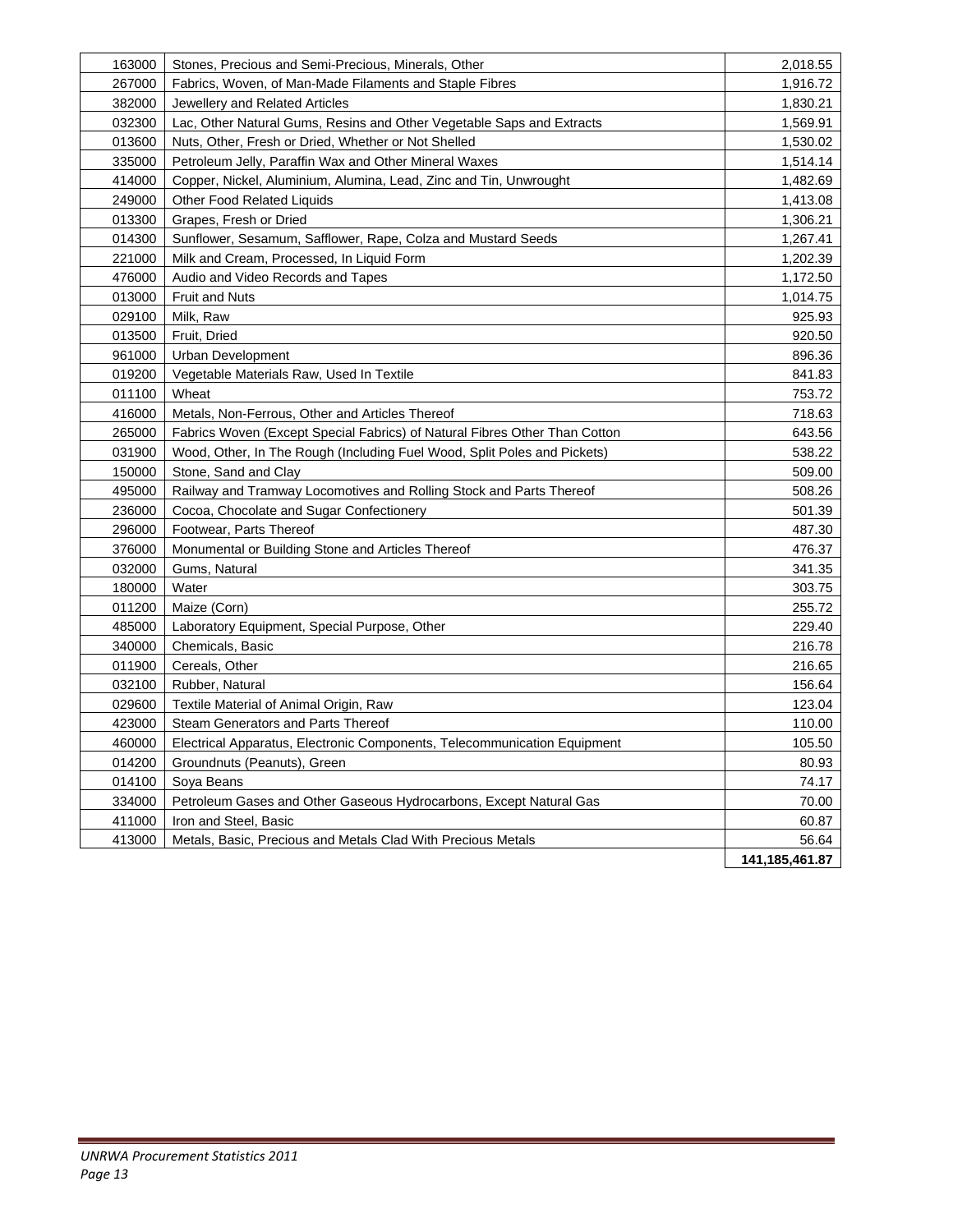| 163000 | Stones, Precious and Semi-Precious, Minerals, Other                        | 2,018.55         |
|--------|----------------------------------------------------------------------------|------------------|
| 267000 | Fabrics, Woven, of Man-Made Filaments and Staple Fibres                    | 1,916.72         |
| 382000 | Jewellery and Related Articles                                             | 1,830.21         |
| 032300 | Lac, Other Natural Gums, Resins and Other Vegetable Saps and Extracts      | 1,569.91         |
| 013600 | Nuts, Other, Fresh or Dried, Whether or Not Shelled                        | 1,530.02         |
| 335000 | Petroleum Jelly, Paraffin Wax and Other Mineral Waxes                      | 1,514.14         |
| 414000 | Copper, Nickel, Aluminium, Alumina, Lead, Zinc and Tin, Unwrought          | 1,482.69         |
| 249000 | <b>Other Food Related Liquids</b>                                          | 1,413.08         |
| 013300 | Grapes, Fresh or Dried                                                     | 1,306.21         |
| 014300 | Sunflower, Sesamum, Safflower, Rape, Colza and Mustard Seeds               | 1,267.41         |
| 221000 | Milk and Cream, Processed, In Liquid Form                                  | 1,202.39         |
| 476000 | Audio and Video Records and Tapes                                          | 1,172.50         |
| 013000 | <b>Fruit and Nuts</b>                                                      | 1,014.75         |
| 029100 | Milk, Raw                                                                  | 925.93           |
| 013500 | Fruit, Dried                                                               | 920.50           |
| 961000 | Urban Development                                                          | 896.36           |
| 019200 | Vegetable Materials Raw, Used In Textile                                   | 841.83           |
| 011100 | Wheat                                                                      | 753.72           |
| 416000 | Metals, Non-Ferrous, Other and Articles Thereof                            | 718.63           |
| 265000 | Fabrics Woven (Except Special Fabrics) of Natural Fibres Other Than Cotton | 643.56           |
| 031900 | Wood, Other, In The Rough (Including Fuel Wood, Split Poles and Pickets)   | 538.22           |
| 150000 | Stone, Sand and Clay                                                       | 509.00           |
| 495000 | Railway and Tramway Locomotives and Rolling Stock and Parts Thereof        | 508.26           |
| 236000 | Cocoa, Chocolate and Sugar Confectionery                                   | 501.39           |
| 296000 | Footwear, Parts Thereof                                                    | 487.30           |
| 376000 | Monumental or Building Stone and Articles Thereof                          | 476.37           |
| 032000 | Gums, Natural                                                              | 341.35           |
| 180000 | Water                                                                      | 303.75           |
| 011200 | Maize (Corn)                                                               | 255.72           |
| 485000 | Laboratory Equipment, Special Purpose, Other                               | 229.40           |
| 340000 | Chemicals, Basic                                                           | 216.78           |
| 011900 | Cereals, Other                                                             | 216.65           |
| 032100 | Rubber, Natural                                                            | 156.64           |
| 029600 | Textile Material of Animal Origin, Raw                                     | 123.04           |
| 423000 | Steam Generators and Parts Thereof                                         | 110.00           |
| 460000 | Electrical Apparatus, Electronic Components, Telecommunication Equipment   | 105.50           |
| 014200 | Groundnuts (Peanuts), Green                                                | 80.93            |
| 014100 | Soya Beans                                                                 | 74.17            |
| 334000 | Petroleum Gases and Other Gaseous Hydrocarbons, Except Natural Gas         | 70.00            |
| 411000 | Iron and Steel, Basic                                                      | 60.87            |
| 413000 | Metals, Basic, Precious and Metals Clad With Precious Metals               | 56.64            |
|        |                                                                            | 141, 185, 461.87 |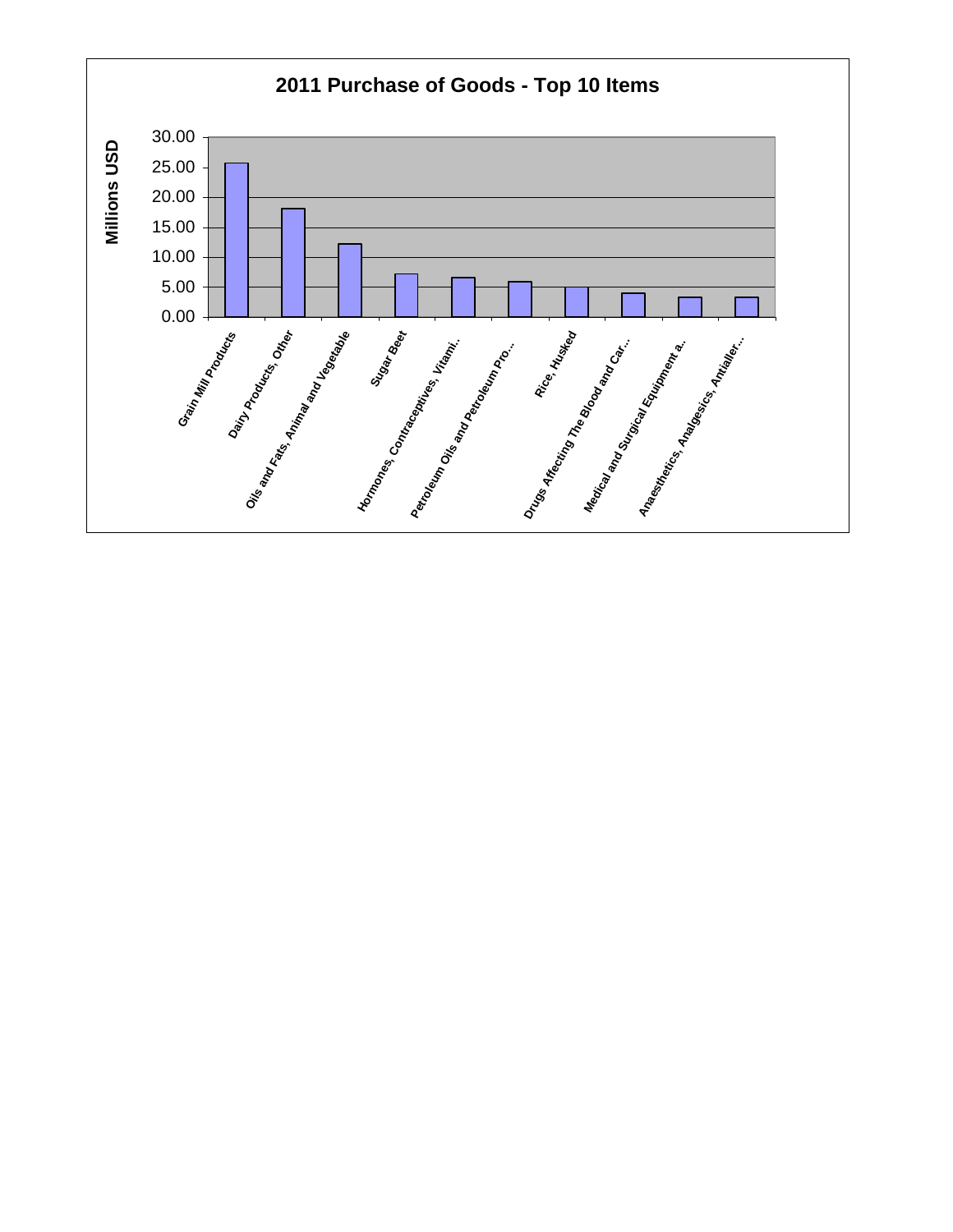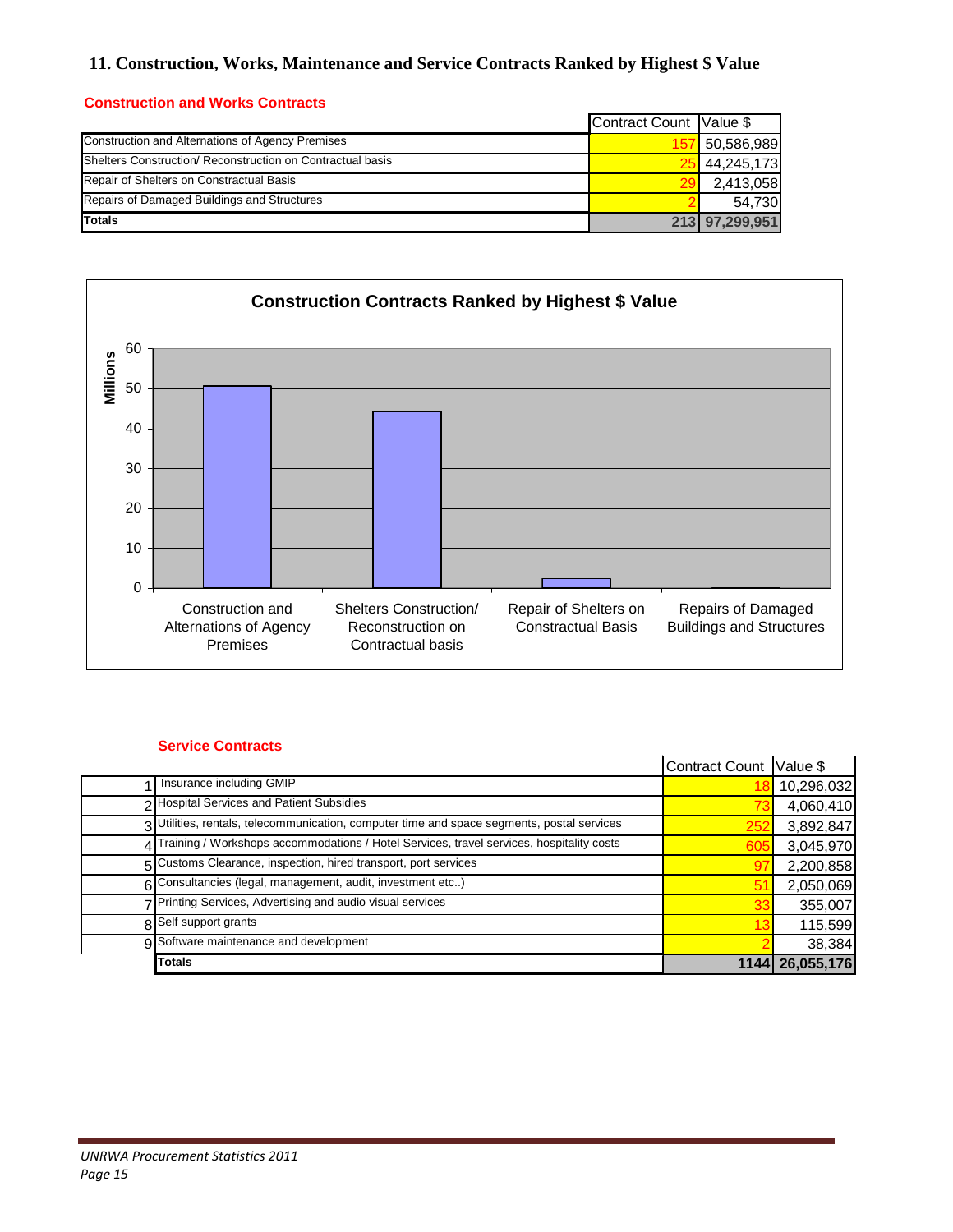# **11. Construction, Works, Maintenance and Service Contracts Ranked by Highest \$ Value**

## **Construction and Works Contracts**

|                                                            | Contract Count Value \$ |                |
|------------------------------------------------------------|-------------------------|----------------|
| Construction and Alternations of Agency Premises           |                         | 50,586,989     |
| Shelters Construction/ Reconstruction on Contractual basis |                         | 44,245,173     |
| Repair of Shelters on Constractual Basis                   |                         | 2,413,058      |
| Repairs of Damaged Buildings and Structures                |                         | 54.730         |
| <b>Totals</b>                                              |                         | 213 97,299,951 |



## **Service Contracts**

|                                                                                            | Contract Count Value \$ |                 |
|--------------------------------------------------------------------------------------------|-------------------------|-----------------|
| Insurance including GMIP                                                                   |                         | 10,296,032      |
| <b>Hospital Services and Patient Subsidies</b>                                             |                         | 4,060,410       |
| 3 Utilities, rentals, telecommunication, computer time and space segments, postal services | 25:                     | 3,892,847       |
| Training / Workshops accommodations / Hotel Services, travel services, hospitality costs   | 60                      | 3,045,970       |
| 5 Customs Clearance, inspection, hired transport, port services                            |                         | 2,200,858       |
| 6 Consultancies (legal, management, audit, investment etc)                                 |                         | 2,050,069       |
| Printing Services, Advertising and audio visual services                                   |                         | 355,007         |
| 8 Self support grants                                                                      |                         | 115,599         |
| 9 Software maintenance and development                                                     |                         | 38,384          |
| <b>Totals</b>                                                                              |                         | 1144 26,055,176 |